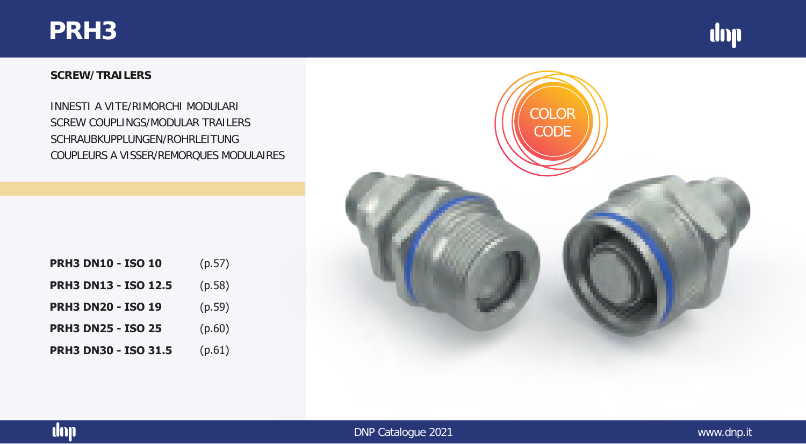## **PRH3**



#### **SCREW/TRAILERS**

SCREW COUPLINGS/MODULAR TRAILERS SCHRAUBKUPPLUNGEN/ROHRLEITUNG COUPLEURS A VISSER/REMORQUES MODULAIRES INNESTI A VITE/RIMORCHI MODULARI

| <b>PRH3 DN10 - ISO 10</b>   | (p.57) |
|-----------------------------|--------|
| <b>PRH3 DN13 - ISO 12.5</b> | (p.58) |
| <b>PRH3 DN20 - ISO 19</b>   | (p.59) |
| <b>PRH3 DN25 - ISO 25</b>   | (p.60) |
| <b>PRH3 DN30 - ISO 31.5</b> | (p.61) |



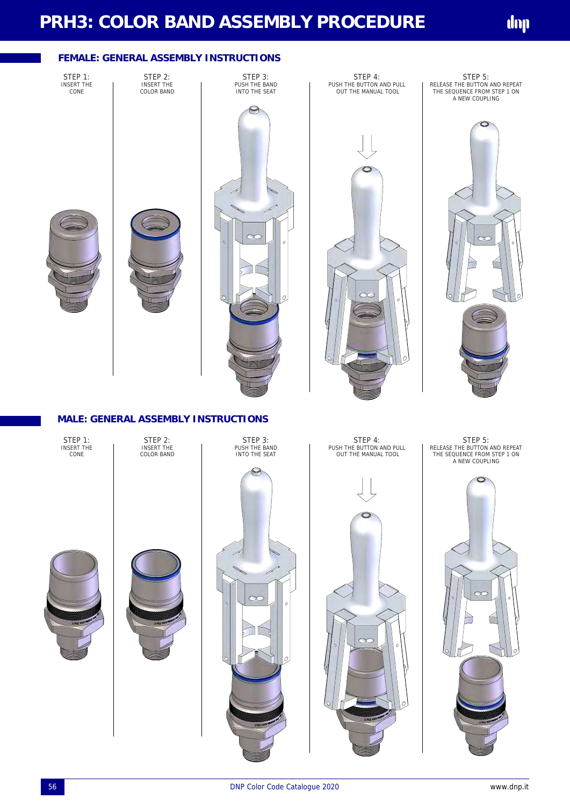# **PRH3: COLOR BAND ASSEMBLY PROCEDURE**

### **FEMALE: GENERAL ASSEMBLY INSTRUCTIONS**

STEP 1: INSERT THE CONE

STEP 2: INSERT THE COLOR BAND

STEP 3:<br>PUSH THE BAND INTO THE SEAT









STEP 5:<br>RELEASE THE BUTTON AND REPEAT THE SEQUENCE FROM STEP 1 ON A NEW COUPLING



#### **MALE: GENERAL ASSEMBLY INSTRUCTIONS**

STEP 1: INSERT THE CONE

STEP 2: INSERT THE COLOR BAND









STEP 4: PUSH THE BUTTON AND PULL OUT THE MANUAL TOOL



STEP 5:<br>RELEASE THE BUTTON AND REPEAT<br>THE SEQUENCE FROM STEP 1 ON A NEW COUPLING

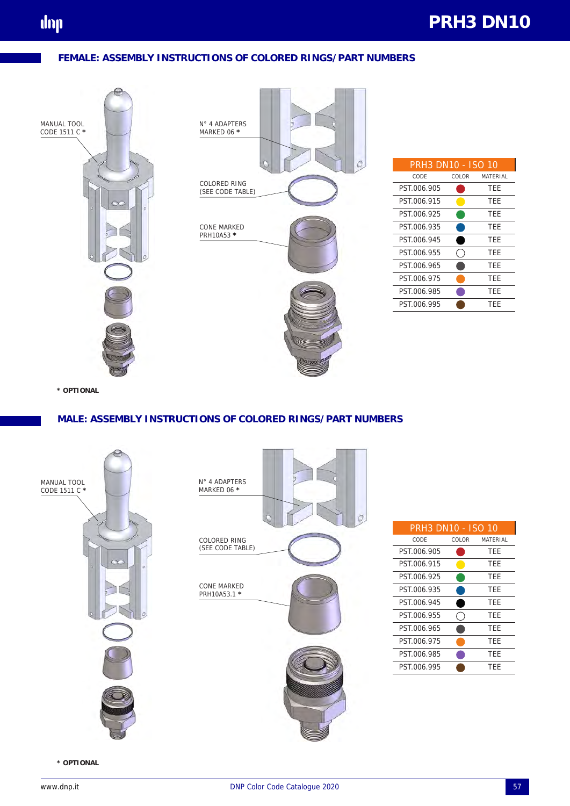



| <b>PRH3 DN10 - ISO 10</b> |       |          |
|---------------------------|-------|----------|
| CODE                      | COLOR | MATFRIAL |
| PST.006.905               |       | TFF      |
| PST.006.915               |       | TEE      |
| PST.006.925               |       | TEE      |
| PST.006.935               |       | TEE      |
| PST.006.945               |       | TEE      |
| PST.006.955               |       | TFF      |
| PST.006.965               |       | TEE      |
| PST.006.975               |       | TEE      |
| PST.006.985               |       | TEE      |
| PST.006.995               |       | TFF      |

**\* OPTIONAL**

#### **MALE: ASSEMBLY INSTRUCTIONS OF COLORED RINGS/PART NUMBERS**



| <b>PRH3 DN10 - ISO 10</b> |       |            |
|---------------------------|-------|------------|
| CODE                      | COLOR | MATFRIAL   |
| PST.006.905               |       | <b>TFF</b> |
| PST.006.915               |       | TEE        |
| PST.006.925               |       | <b>TEE</b> |
| PST.006.935               |       | TFF        |
| PST.006.945               |       | <b>TEE</b> |
| PST 006.955               |       | <b>TFF</b> |
| PST.006.965               |       | <b>TFF</b> |
| PST.006.975               |       | TFF        |
| PST.006.985               |       | <b>TFF</b> |
| PST.006.995               |       | TFF        |

 $\sigma$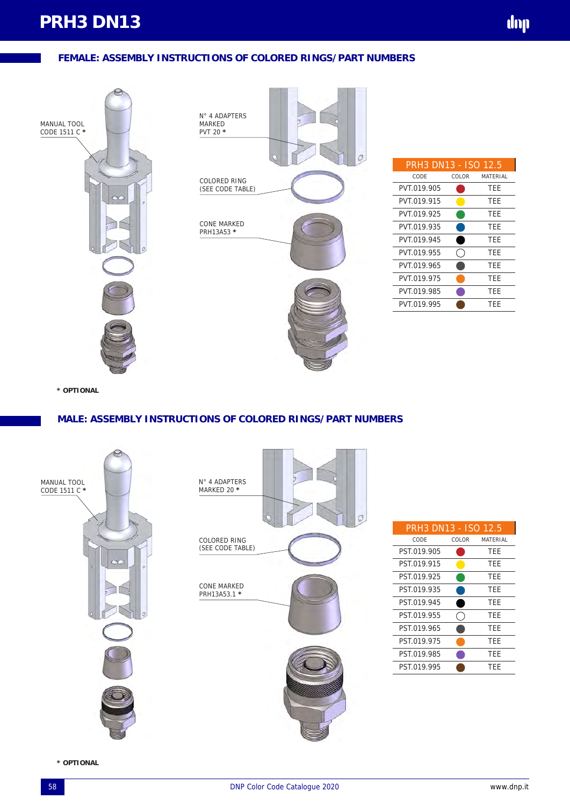

| PRH3 DN13 - ISO 12.5 |       |          |
|----------------------|-------|----------|
| CODE                 | COLOR | MATFRIAL |
| PVT.019.905          |       | TFF      |
| PVT.019.915          |       | TEE      |
| PVT.019.925          |       | TEE      |
| PVT.019.935          |       | TFF      |
| PVT.019.945          |       | TFF      |
| PVT.019.955          |       | TEE      |
| PVT.019.965          |       | TEE      |
| PVT.019.975          |       | TEE      |
| PVT.019.985          |       | TFF      |
| PVT.019.995          |       | TFF      |
|                      |       |          |

dop

**\* OPTIONAL**

#### **MALE: ASSEMBLY INSTRUCTIONS OF COLORED RINGS/PART NUMBERS**



| PRH3 DN13 - ISO 12.5 |       |          |
|----------------------|-------|----------|
| CODE                 | COLOR | MATFRIAL |
| PST.019.905          |       | TFF      |
| PST 019.915          |       | TFF      |
| PST.019.925          |       | TFF      |
| PST.019.935          |       | TEE      |
| PST 019.945          |       | TFF      |
| PST.019.955          |       | TFF      |
| PST.019.965          |       | TFF      |
| PST.019.975          |       | TFF      |
| PST.019.985          |       | TFF      |
| PST 019.995          |       | TFF      |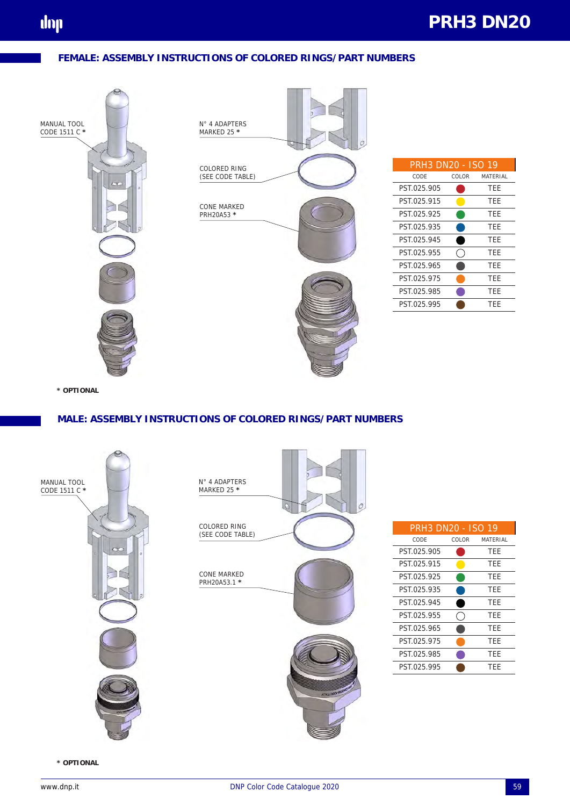# **PRH3 DN20**

#### **FEMALE: ASSEMBLY INSTRUCTIONS OF COLORED RINGS/PART NUMBERS**



| PRH3 DN20 - ISO 19 |       |          |
|--------------------|-------|----------|
| CODE               | COLOR | MATFRIAL |
| PST.025.905        |       | TFF      |
| PST 025.915        |       | TEE      |
| PST 025.925        |       | TFF      |
| PST.025.935        |       | TEE      |
| PST.025.945        |       | TEE      |
| PST.025.955        |       | TFF      |
| PST 025.965        |       | TFF      |
| PST.025.975        |       | TFF      |
| PST.025.985        |       | TFF      |
| PST 025.995        |       | TFF      |

**\* OPTIONAL**

#### **MALE: ASSEMBLY INSTRUCTIONS OF COLORED RINGS/PART NUMBERS**



| PRH3 DN20 - ISO 19 |       |          |
|--------------------|-------|----------|
| CODE               | COLOR | MATFRIAL |
| PST.025.905        |       | TEE      |
| PST.025.915        |       | TFF      |
| PST.025.925        |       | TFF      |
| PST.025.935        |       | TFF      |
| PST 025.945        |       | TFF      |
| PST.025.955        |       | TEE      |
| PST.025.965        |       | TFF      |
| PST.025.975        |       | TFF      |
| PST.025.985        |       | TFF      |
| PST 025.995        |       | TFF      |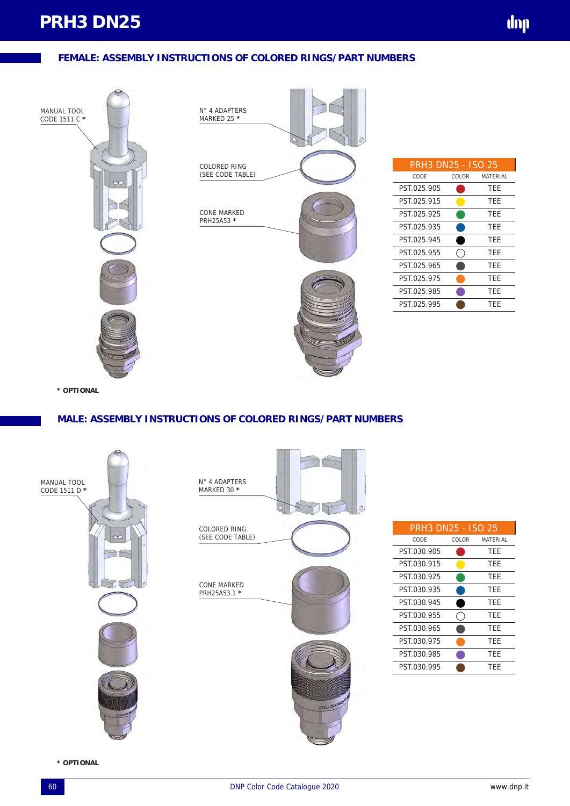

**\* OPTIONAL**

#### **MALE: ASSEMBLY INSTRUCTIONS OF COLORED RINGS/PART NUMBERS**





| <b>PRH3 DN25 - ISO 25</b> |       |                 |
|---------------------------|-------|-----------------|
| CODE                      | COLOR | <b>MATFRIAL</b> |
| PST.030.905               |       | TEE             |
| PST.030.915               |       | TEE             |
| PST 030.925               |       | TFF             |
| PST.030.935               |       | TEE             |
| PST 030.945               |       | TEE             |
| PST.030.955               |       | TEE             |
| PST.030.965               |       | TFF             |
| PST.030.975               |       | TFF             |
| PST.030.985               |       | <b>TFF</b>      |
| PST.030.995               |       | TEF             |